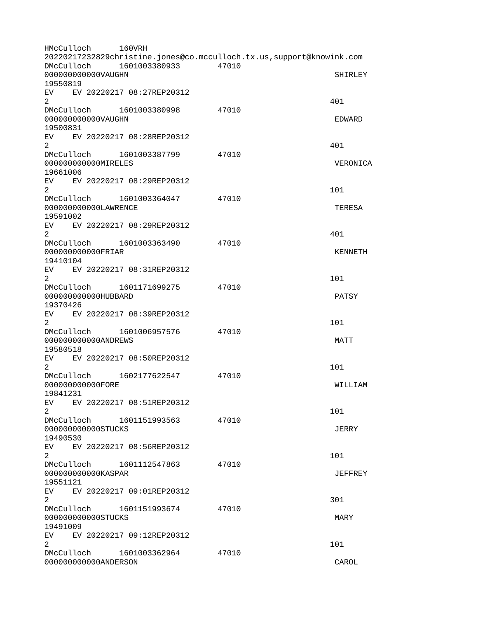HMcCulloch 160VRH 20220217232829christine.jones@co.mcculloch.tx.us,support@knowink.com DMcCulloch 1601003380933 47010 0000000000000VAUGHN SHIRLEY SHIRLEY 19550819 EV EV 20220217 08:27REP20312  $2^{401}$ DMcCulloch 1601003380998 47010 000000000000VAUGHN EDWARD 19500831 EV EV 20220217 08:28REP20312  $2^{401}$ DMcCulloch 1601003387799 47010 000000000000MIRELES VERONICA 19661006 EV EV 20220217 08:29REP20312  $2 \t 101$ DMcCulloch 1601003364047 47010 000000000000LAWRENCE TERESA 19591002 EV EV 20220217 08:29REP20312  $2^{401}$ DMcCulloch 1601003363490 47010 000000000000FRIAR KENNETH 19410104 EV EV 20220217 08:31REP20312  $2 \t 101$ DMcCulloch 1601171699275 47010 000000000000HUBBARD PATSY 19370426 EV EV 20220217 08:39REP20312  $2 \t 101$ DMcCulloch 1601006957576 47010 000000000000ANDREWS MATT 19580518 EV EV 20220217 08:50REP20312  $2 \t 101$ DMcCulloch 1602177622547 47010 000000000000FORE WILLIAM 19841231 EV EV 20220217 08:51REP20312  $2 \t 101$ DMcCulloch 1601151993563 47010 000000000000STUCKS JERRY 19490530 EV EV 20220217 08:56REP20312  $2 \t 101$ DMcCulloch 1601112547863 47010 000000000000KASPAR JEFFREY 19551121 EV EV 20220217 09:01REP20312  $2\,$ DMcCulloch 1601151993674 47010 000000000000STUCKS MARY 19491009 EV EV 20220217 09:12REP20312  $2 \t 101$ DMcCulloch 1601003362964 47010 000000000000ANDERSON CAROL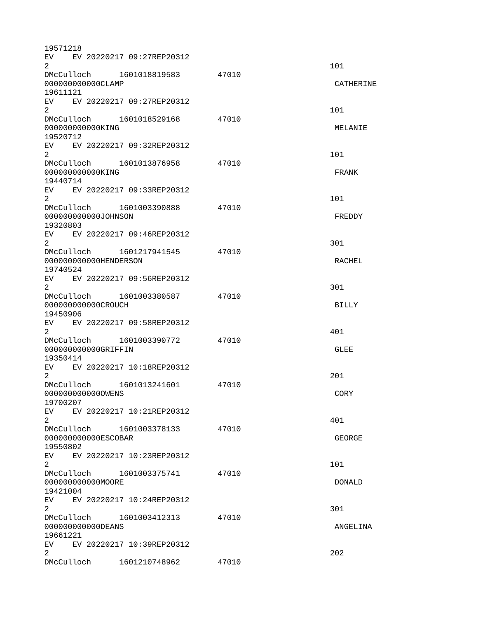| 19571218                                 |                              |       |               |  |
|------------------------------------------|------------------------------|-------|---------------|--|
|                                          | EV EV 20220217 09:27REP20312 |       |               |  |
| 2                                        |                              |       | 101           |  |
| 000000000000CLAMP                        | DMcCulloch 1601018819583     | 47010 | CATHERINE     |  |
| 19611121                                 |                              |       |               |  |
|                                          | EV EV 20220217 09:27REP20312 |       |               |  |
| $\overline{2}$                           |                              |       | 101           |  |
|                                          | DMcCulloch 1601018529168     | 47010 |               |  |
| 000000000000KING                         |                              |       | MELANIE       |  |
| 19520712                                 |                              |       |               |  |
|                                          | EV EV 20220217 09:32REP20312 |       |               |  |
| 2 <sup>1</sup>                           |                              |       | 101           |  |
|                                          | DMcCulloch 1601013876958     | 47010 |               |  |
| 00000000000KING                          |                              |       | <b>FRANK</b>  |  |
| 19440714                                 |                              |       |               |  |
|                                          | EV EV 20220217 09:33REP20312 |       |               |  |
| 2                                        | DMcCulloch 1601003390888     | 47010 | 101           |  |
| 000000000000J0HNSON                      |                              |       | FREDDY        |  |
| 19320803                                 |                              |       |               |  |
|                                          | EV EV 20220217 09:46REP20312 |       |               |  |
| $\overline{2}$                           |                              |       | 301           |  |
|                                          | DMcCulloch 1601217941545     | 47010 |               |  |
| 000000000000HENDERSON                    |                              |       | <b>RACHEL</b> |  |
| 19740524                                 |                              |       |               |  |
|                                          | EV EV 20220217 09:56REP20312 |       |               |  |
| $\overline{2}$                           |                              |       | 301           |  |
|                                          | DMcCulloch 1601003380587     | 47010 |               |  |
| 000000000000CROUCH                       |                              |       | <b>BILLY</b>  |  |
| 19450906                                 |                              |       |               |  |
| $\overline{2}$                           | EV EV 20220217 09:58REP20312 |       | 401           |  |
| DMcCulloch                               | 1601003390772                | 47010 |               |  |
| 000000000000GRIFFIN                      |                              |       | <b>GLEE</b>   |  |
| 19350414                                 |                              |       |               |  |
| EV                                       | EV 20220217 10:18REP20312    |       |               |  |
| $\overline{2}$                           |                              |       | 201           |  |
|                                          | DMcCulloch 1601013241601     | 47010 |               |  |
| 0000000000000WENS                        |                              |       | <b>CORY</b>   |  |
| 19700207                                 |                              |       |               |  |
| <b>EV</b>                                | EV 20220217 10:21REP20312    |       |               |  |
| $2^{\circ}$                              |                              |       | 401           |  |
| 00000000000ESC0BAR                       |                              | 47010 | <b>GEORGE</b> |  |
| 19550802                                 |                              |       |               |  |
|                                          | EV EV 20220217 10:23REP20312 |       |               |  |
| $\overline{2}$                           |                              |       | 101           |  |
|                                          | DMcCulloch 1601003375741     | 47010 |               |  |
| 000000000000MOORE                        |                              |       | <b>DONALD</b> |  |
| 19421004                                 |                              |       |               |  |
|                                          | EV EV 20220217 10:24REP20312 |       |               |  |
| $\overline{2}$                           |                              |       | 301           |  |
|                                          | DMcCulloch 1601003412313     | 47010 |               |  |
| 00000000000DEANS<br>ANGELINA             |                              |       |               |  |
| 19661221<br>EV EV 20220217 10:39REP20312 |                              |       |               |  |
| $\overline{2}$                           |                              |       | 202           |  |
| DMcCulloch                               | 1601210748962                | 47010 |               |  |
|                                          |                              |       |               |  |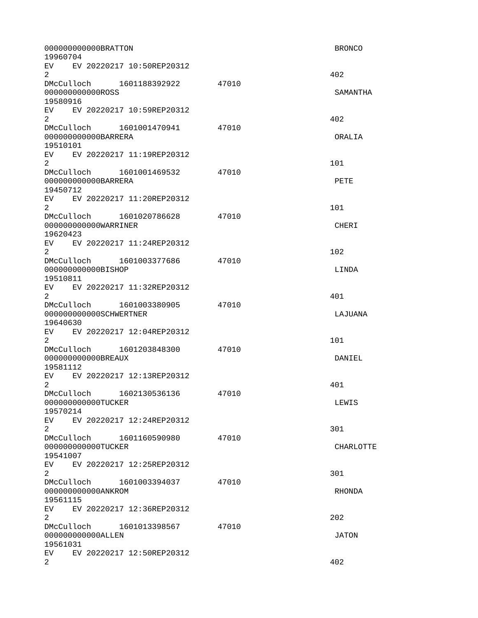| 000000000000BRATT0N<br>19960704                                                                                                                                                                                                                                               |       | <b>BRONCO</b> |
|-------------------------------------------------------------------------------------------------------------------------------------------------------------------------------------------------------------------------------------------------------------------------------|-------|---------------|
| EV EV 20220217 10:50REP20312<br>$\overline{2}$                                                                                                                                                                                                                                |       | 402           |
| DMcCulloch 1601188392922<br>00000000000R0SS                                                                                                                                                                                                                                   | 47010 | SAMANTHA      |
| 19580916<br>EV EV 20220217 10:59REP20312<br>$\overline{2}$                                                                                                                                                                                                                    |       | 402           |
| DMcCulloch 1601001470941<br>000000000000BARRERA<br>19510101                                                                                                                                                                                                                   | 47010 | ORALIA        |
| EV EV 20220217 11:19REP20312<br>$\overline{2}$                                                                                                                                                                                                                                |       | 101           |
| 000000000000BARRERA<br>19450712                                                                                                                                                                                                                                               | 47010 | <b>PETE</b>   |
| EV EV 20220217 11:20REP20312<br>$\overline{2}$                                                                                                                                                                                                                                |       | 101           |
| DMcCulloch 1601020786628<br>000000000000WARRINER<br>19620423                                                                                                                                                                                                                  | 47010 | <b>CHERI</b>  |
| EV EV 20220217 11:24REP20312<br>$\overline{2}$                                                                                                                                                                                                                                |       | 102           |
| DMcCulloch 1601003377686<br>00000000000BISHOP<br>19510811                                                                                                                                                                                                                     | 47010 | LINDA         |
| EV EV 20220217 11:32REP20312<br>$\overline{2}$                                                                                                                                                                                                                                |       | 401           |
| DMcCulloch 1601003380905<br>000000000000SCHWERTNER<br>19640630                                                                                                                                                                                                                | 47010 | LAJUANA       |
| EV EV 20220217 12:04REP20312<br>$\overline{2}$                                                                                                                                                                                                                                |       | 101           |
| DMcCulloch 1601203848300<br>00000000000BREAUX<br>19581112                                                                                                                                                                                                                     | 47010 | DANIEL        |
| EV.<br>EV 20220217 12:13REP20312<br>2                                                                                                                                                                                                                                         |       | 401           |
| DMcCulloch 1602130536136<br>000000000000TUCKER<br>19570214                                                                                                                                                                                                                    | 47010 | LEWIS         |
| EV EV 20220217 12:24REP20312<br>$\overline{2}$                                                                                                                                                                                                                                |       | 301           |
| DMcCulloch 1601160590980<br>000000000000TUCKER<br>19541007                                                                                                                                                                                                                    | 47010 | CHARLOTTE     |
| EV and the set of the set of the set of the set of the set of the set of the set of the set of the set of the set of the set of the set of the set of the set of the set of the set of the set of the set of the set of the se<br>EV 20220217 12:25REP20312<br>$\overline{2}$ |       | 301           |
| DMcCulloch<br>1601003394037<br>00000000000ANKR0M<br>19561115                                                                                                                                                                                                                  | 47010 | RHONDA        |
| EV EV 20220217 12:36REP20312<br>$\overline{2}$                                                                                                                                                                                                                                |       | 202           |
| 00000000000ALLEN<br>19561031                                                                                                                                                                                                                                                  | 47010 | <b>JATON</b>  |
| EV  <br>EV 20220217 12:50REP20312<br>$\overline{2}$                                                                                                                                                                                                                           |       | 402           |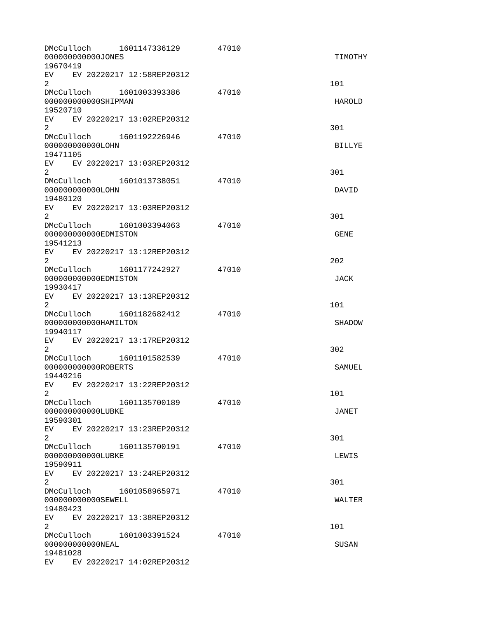| DMcCulloch<br>000000000000JONES<br>19670419                                                                                                                                                                                    | 1601147336129             | 47010 | TIMOTHY       |
|--------------------------------------------------------------------------------------------------------------------------------------------------------------------------------------------------------------------------------|---------------------------|-------|---------------|
| EV EV 20220217 12:58REP20312<br>$\overline{2}$                                                                                                                                                                                 |                           |       | 101           |
| DMcCulloch 1601003393386<br>000000000000SHIPMAN<br>19520710                                                                                                                                                                    |                           | 47010 | HAROLD        |
| EV EV 20220217 13:02REP20312<br>$\overline{2}$                                                                                                                                                                                 |                           |       | 301           |
| DMcCulloch 1601192226946<br>000000000000L0HN<br>19471105                                                                                                                                                                       |                           | 47010 | <b>BILLYE</b> |
| EV EV 20220217 13:03REP20312<br>$\overline{2}$                                                                                                                                                                                 |                           |       | 301           |
| 000000000000L0HN<br>19480120                                                                                                                                                                                                   |                           | 47010 | DAVID         |
| EV.<br>$\overline{2}$                                                                                                                                                                                                          | EV 20220217 13:03REP20312 |       | 301           |
| DMcCulloch 1601003394063<br>000000000000EDMISTON<br>19541213                                                                                                                                                                   |                           | 47010 | <b>GENE</b>   |
| EV EV 20220217 13:12REP20312<br>$\overline{2}$                                                                                                                                                                                 |                           |       | 202           |
| DMcCulloch  1601177242927<br>000000000000EDMISTON<br>19930417                                                                                                                                                                  |                           | 47010 | <b>JACK</b>   |
| EV EV 20220217 13:13REP20312<br>$\overline{2}$                                                                                                                                                                                 |                           |       | 101           |
| DMcCulloch 1601182682412<br>000000000000HAMILTON<br>19940117                                                                                                                                                                   |                           | 47010 | <b>SHADOW</b> |
| EV EV 20220217 13:17REP20312<br>$\overline{2}$                                                                                                                                                                                 |                           |       | 302           |
| DMcCulloch 1601101582539<br>000000000000R0BERTS<br>19440216                                                                                                                                                                    |                           | 47010 | SAMUEL        |
| EV<br>$2^{\circ}$                                                                                                                                                                                                              | EV 20220217 13:22REP20312 |       | 101           |
| DMcCulloch<br>00000000000LUBKE<br>19590301                                                                                                                                                                                     | 1601135700189             | 47010 | <b>JANET</b>  |
| EV EV 20220217 13:23REP20312<br>2                                                                                                                                                                                              |                           |       | 301           |
| 000000000000LUBKE<br>19590911                                                                                                                                                                                                  |                           | 47010 | LEWIS         |
| EV EV 20220217 13:24REP20312<br>$\overline{2}$                                                                                                                                                                                 |                           |       | 301           |
| DMcCulloch<br>000000000000SEWELL<br>19480423                                                                                                                                                                                   | 1601058965971             | 47010 | <b>WALTER</b> |
| EV EV 20220217 13:38REP20312<br>2                                                                                                                                                                                              |                           |       | 101           |
| DMcCulloch 1601003391524<br>000000000000NEAL<br>19481028                                                                                                                                                                       |                           | 47010 | <b>SUSAN</b>  |
| EV and the set of the set of the set of the set of the set of the set of the set of the set of the set of the set of the set of the set of the set of the set of the set of the set of the set of the set of the set of the se | EV 20220217 14:02REP20312 |       |               |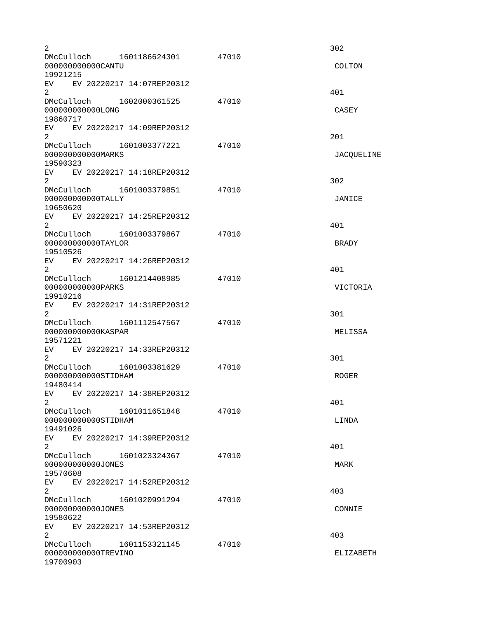| $\overline{2}$                                |                                |       | 302              |
|-----------------------------------------------|--------------------------------|-------|------------------|
| 000000000000CANTU<br>19921215                 | DMcCulloch 1601186624301       | 47010 | <b>COLTON</b>    |
|                                               | EV EV 20220217 14:07REP20312   |       |                  |
| $\overline{2}$                                |                                | 47010 | 401              |
| 000000000000LONG<br>19860717                  |                                |       | <b>CASEY</b>     |
| 2 <sup>1</sup>                                | EV EV 20220217 14:09REP20312   |       | 201              |
| 00000000000MARKS<br>19590323                  | DMcCulloch  1601003377221      | 47010 | JACQUELINE       |
| 2                                             | EV EV 20220217 14:18REP20312   |       | 302              |
| 000000000000TALLY<br>19650620                 | DMcCulloch 1601003379851 47010 |       | JANICE           |
| $\overline{2}$                                | EV EV 20220217 14:25REP20312   |       | 401              |
| 000000000000TAYLOR<br>19510526                | DMcCulloch 1601003379867       | 47010 | <b>BRADY</b>     |
| 2                                             | EV EV 20220217 14:26REP20312   |       | 401              |
| 00000000000PARKS<br>19910216                  |                                | 47010 | <b>VICTORIA</b>  |
| $\overline{2}$                                | EV EV 20220217 14:31REP20312   |       | 301              |
| 000000000000KASPAR<br>19571221                | EV EV 20220217 14:33REP20312   | 47010 | MELISSA          |
| 2                                             | DMcCulloch 1601003381629       | 47010 | 301              |
| 000000000000STIDHAM<br>19480414               |                                |       | <b>ROGER</b>     |
| $\overline{2}$                                | EV EV 20220217 14:38REP20312   |       | 401              |
| DMcCulloch<br>000000000000STIDHAM<br>19491026 | 1601011651848                  | 47010 | LINDA            |
| EV<br>$\overline{2}$                          | EV 20220217 14:39REP20312      |       | 401              |
| 000000000000JONES<br>19570608                 | DMcCulloch 1601023324367       | 47010 | MARK             |
| $\overline{2}$                                | EV EV 20220217 14:52REP20312   |       | 403              |
| 000000000000JONES<br>19580622                 | DMcCulloch 1601020991294       | 47010 | CONNIE           |
| EV<br>$\overline{2}$                          | EV 20220217 14:53REP20312      |       | 403              |
| DMcCulloch<br>000000000000TREVINO<br>19700903 | 1601153321145                  | 47010 | <b>ELIZABETH</b> |